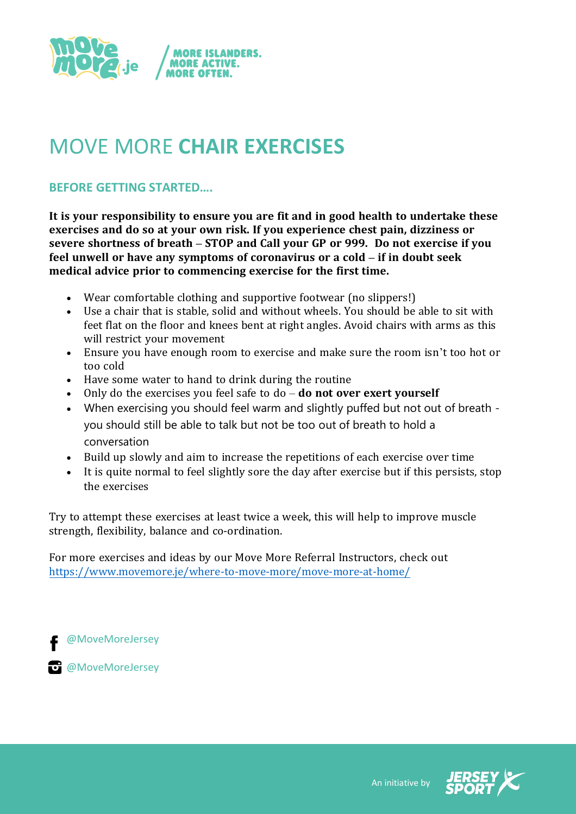

# MOVE MORE **CHAIR EXERCISES**

# **BEFORE GETTING STARTED….**

**It is your responsibility to ensure you are fit and in good health to undertake these exercises and do so at your own risk. If you experience chest pain, dizziness or severe shortness of breath – STOP and Call your GP or 999. Do not exercise if you feel unwell or have any symptoms of coronavirus or a cold – if in doubt seek medical advice prior to commencing exercise for the first time.**

- Wear comfortable clothing and supportive footwear (no slippers!)
- Use a chair that is stable, solid and without wheels. You should be able to sit with feet flat on the floor and knees bent at right angles. Avoid chairs with arms as this will restrict your movement
- Ensure you have enough room to exercise and make sure the room isn't too hot or too cold
- Have some water to hand to drink during the routine
- Only do the exercises you feel safe to do **do not over exert yourself**
- When exercising you should feel warm and slightly puffed but not out of breath you should still be able to talk but not be too out of breath to hold a conversation
- Build up slowly and aim to increase the repetitions of each exercise over time
- It is quite normal to feel slightly sore the day after exercise but if this persists, stop the exercises

Try to attempt these exercises at least twice a week, this will help to improve muscle strength, flexibility, balance and co-ordination.

For more exercises and ideas by our Move More Referral Instructors, check out <https://www.movemore.je/where-to-move-more/move-more-at-home/>

@MoveMoreJersey

**@**MoveMoreJersey

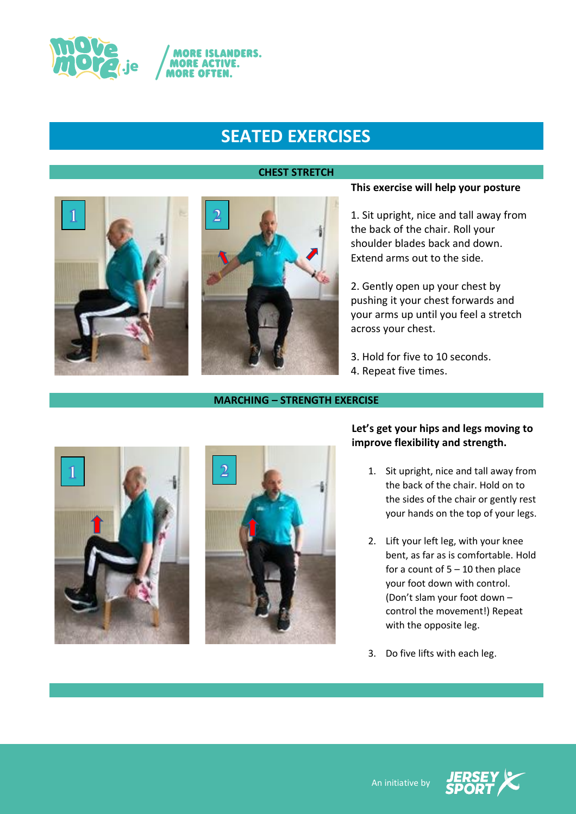

## **CHEST STRETCH**





### **MARCHING – STRENGTH EXERCISE**

## **This exercise will help your posture**

1. Sit upright, nice and tall away from the back of the chair. Roll your shoulder blades back and down. Extend arms out to the side.

2. Gently open up your chest by pushing it your chest forwards and your arms up until you feel a stretch across your chest.

3. Hold for five to 10 seconds.

4. Repeat five times.





# **Let's get your hips and legs moving to improve flexibility and strength.**

- 1. Sit upright, nice and tall away from the back of the chair. Hold on to the sides of the chair or gently rest your hands on the top of your legs.
- 2. Lift your left leg, with your knee bent, as far as is comfortable. Hold for a count of  $5 - 10$  then place your foot down with control. (Don't slam your foot down – control the movement!) Repeat with the opposite leg.
- 3. Do five lifts with each leg.

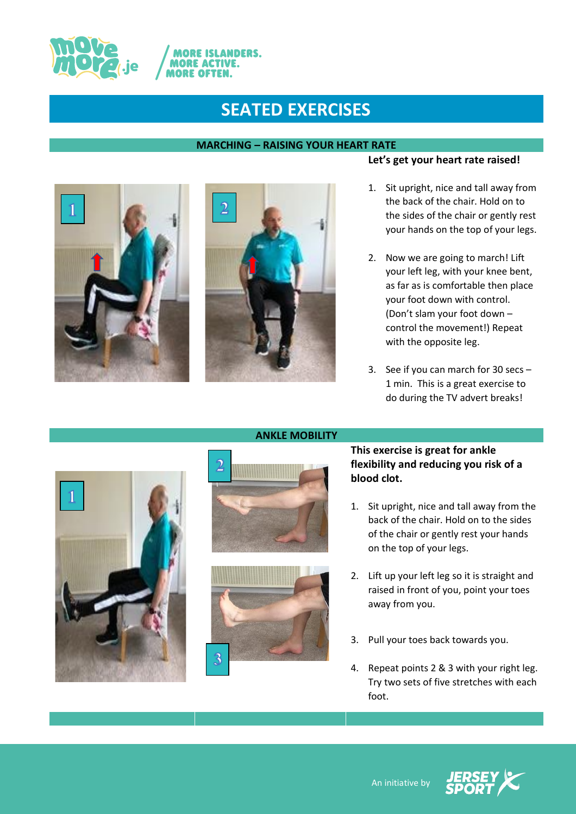

**ANDERS.** 

## **MARCHING – RAISING YOUR HEART RATE**





# **Let's get your heart rate raised!**

- 1. Sit upright, nice and tall away from the back of the chair. Hold on to the sides of the chair or gently rest your hands on the top of your legs.
- 2. Now we are going to march! Lift your left leg, with your knee bent, as far as is comfortable then place your foot down with control. (Don't slam your foot down – control the movement!) Repeat with the opposite leg.
- 3. See if you can march for 30 secs 1 min. This is a great exercise to do during the TV advert breaks!





**ANKLE MOBILITY**



# **This exercise is great for ankle flexibility and reducing you risk of a blood clot.**

- 1. Sit upright, nice and tall away from the back of the chair. Hold on to the sides of the chair or gently rest your hands on the top of your legs.
- 2. Lift up your left leg so it is straight and raised in front of you, point your toes away from you.
- 3. Pull your toes back towards you.
- 4. Repeat points 2 & 3 with your right leg. Try two sets of five stretches with each foot.

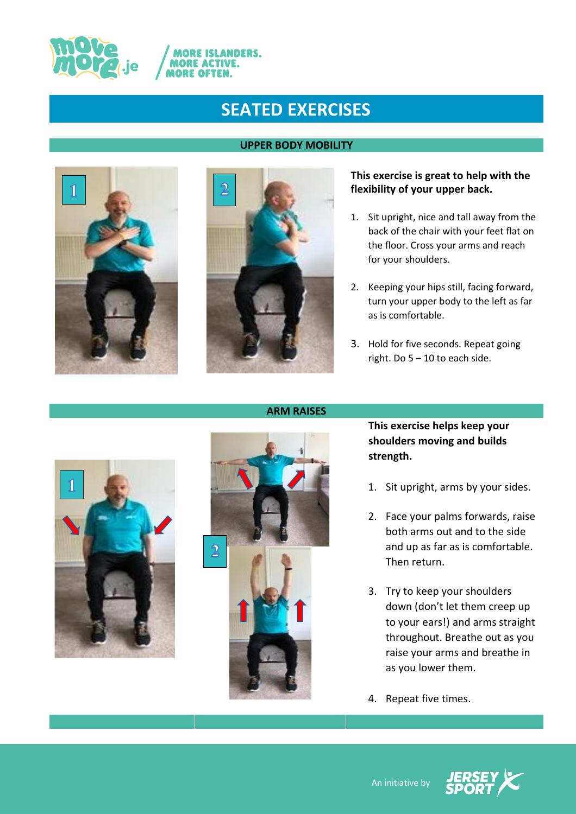

**ANDERS.** 

IORE IS **MORE ACTIVE. MORE OFT** 

## **UPPER BODY MOBILITY**





# **This exercise is great to help with the flexibility of your upper back.**

- 1. Sit upright, nice and tall away from the back of the chair with your feet flat on the floor. Cross your arms and reach for your shoulders.
- 2. Keeping your hips still, facing forward, turn your upper body to the left as far as is comfortable.
- 3. Hold for five seconds. Repeat going right. Do 5 – 10 to each side.





**This exercise helps keep your shoulders moving and builds strength.** 

- 1. Sit upright, arms by your sides.
- 2. Face your palms forwards, raise both arms out and to the side and up as far as is comfortable. Then return.
- 3. Try to keep your shoulders down (don't let them creep up to your ears!) and arms straight throughout. Breathe out as you raise your arms and breathe in as you lower them.
- 4. Repeat five times.





## **ARM RAISES**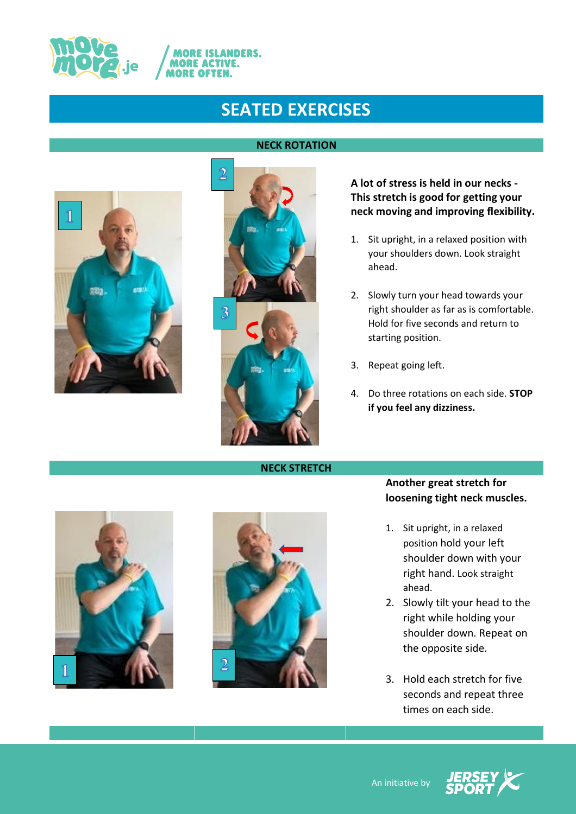

**ANDERS.** 

**MORE ACTIVE. MORE OFT** 

# **ROLL**



# **A lot of stress is held in our necks - This stretch is good for getting your neck moving and improving flexibility.**

- 1. Sit upright, in a relaxed position with your shoulders down. Look straight ahead.
- 2. Slowly turn your head towards your right shoulder as far as is comfortable. Hold for five seconds and return to starting position.
- 3. Repeat going left.
- 4. Do three rotations on each side. **STOP if you feel any dizziness.**



# **Another great stretch for loosening tight neck muscles.**

- 1. Sit upright, in a relaxed position hold your left shoulder down with your right hand. Look straight ahead.
- 2. Slowly tilt your head to the right while holding your shoulder down. Repeat on the opposite side.
- 3. Hold each stretch for five seconds and repeat three times on each side.







An initiative by